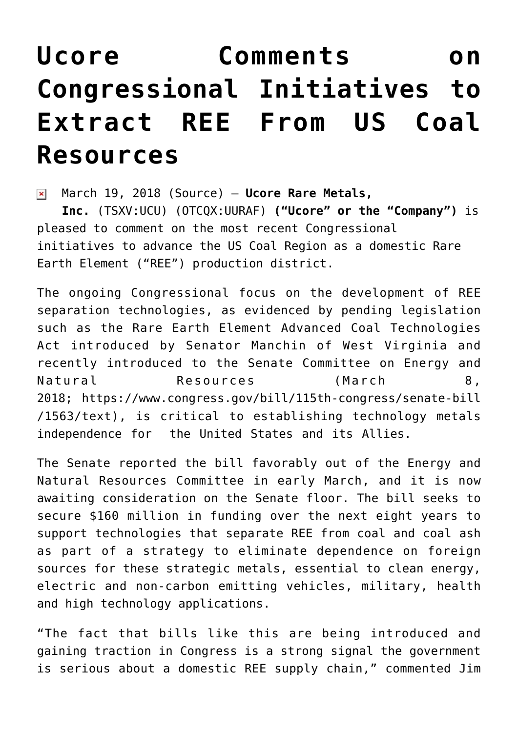## **[Ucore Comments on](https://investorintel.com/markets/technology-metals/technology-metals-news/ucore-comments-congressional-initiatives-extract-ree-us-coal-resources/) [Congressional Initiatives to](https://investorintel.com/markets/technology-metals/technology-metals-news/ucore-comments-congressional-initiatives-extract-ree-us-coal-resources/) [Extract REE From US Coal](https://investorintel.com/markets/technology-metals/technology-metals-news/ucore-comments-congressional-initiatives-extract-ree-us-coal-resources/) [Resources](https://investorintel.com/markets/technology-metals/technology-metals-news/ucore-comments-congressional-initiatives-extract-ree-us-coal-resources/)**

March 19, 2018 [\(Source\)](https://investorintel.com/iintel-members/ucore-rare-metals-inc/) — **Ucore Rare Metals,**  $\pmb{\times}$ **Inc.** (TSXV:UCU) (OTCQX:UURAF) **("Ucore" or the "Company")** is pleased to comment on the most recent Congressional initiatives to advance the US Coal Region as a domestic Rare Earth Element ("REE") production district.

The ongoing Congressional focus on the development of REE separation technologies, as evidenced by pending legislation such as the [Rare Earth Element Advanced Coal Technologies](https://www.congress.gov/115/bills/s1563/BILLS-115s1563is.pdf) [Act](https://www.congress.gov/115/bills/s1563/BILLS-115s1563is.pdf) introduced by Senator Manchin of West Virginia and recently introduced to the Senate Committee on Energy and Natural Resources (March 8, 2018; [https://www.congress.gov/bill/115th-congress/senate-bill](https://www.congress.gov/bill/115th-congress/senate-bill/1563/text) [/1563/text](https://www.congress.gov/bill/115th-congress/senate-bill/1563/text)), is critical to establishing technology metals independence for the United States and its Allies.

The Senate reported the bill favorably out of the Energy and Natural Resources Committee in early March, and it is now awaiting consideration on the Senate floor. The bill seeks to secure \$160 million in funding over the next eight years to support technologies that separate REE from coal and coal ash as part of a strategy to eliminate dependence on foreign sources for these strategic metals, essential to clean energy, electric and non-carbon emitting vehicles, military, health and high technology applications.

"The fact that bills like this are being introduced and gaining traction in Congress is a strong signal the government is serious about a domestic REE supply chain," commented Jim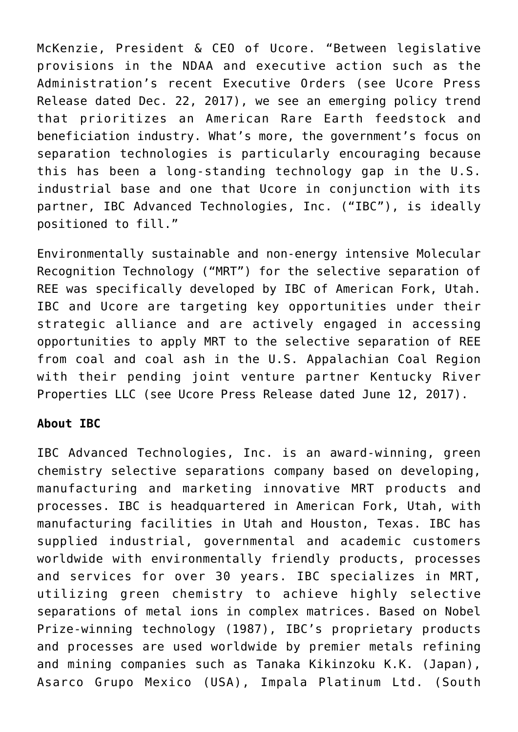McKenzie, President & CEO of Ucore. "Between legislative provisions in the NDAA and executive action such as the Administration's recent Executive Orders (see Ucore Press Release dated Dec. 22, 2017), we see an emerging policy trend that prioritizes an American Rare Earth feedstock and beneficiation industry. What's more, the government's focus on separation technologies is particularly encouraging because this has been a long-standing technology gap in the U.S. industrial base and one that Ucore in conjunction with its partner, IBC Advanced Technologies, Inc. ("IBC"), is ideally positioned to fill."

Environmentally sustainable and non-energy intensive Molecular Recognition Technology ("MRT") for the selective separation of REE was specifically developed by IBC of American Fork, Utah. IBC and Ucore are targeting key opportunities under their strategic alliance and are actively engaged in accessing opportunities to apply MRT to the selective separation of REE from coal and coal ash in the U.S. Appalachian Coal Region with their pending joint venture partner Kentucky River Properties LLC (see Ucore Press Release dated June 12, 2017).

## **About IBC**

IBC Advanced Technologies, Inc. is an award-winning, green chemistry selective separations company based on developing, manufacturing and marketing innovative MRT products and processes. IBC is headquartered in American Fork, Utah, with manufacturing facilities in Utah and Houston, Texas. IBC has supplied industrial, governmental and academic customers worldwide with environmentally friendly products, processes and services for over 30 years. IBC specializes in MRT, utilizing green chemistry to achieve highly selective separations of metal ions in complex matrices. Based on Nobel Prize-winning technology (1987), IBC's proprietary products and processes are used worldwide by premier metals refining and mining companies such as Tanaka Kikinzoku K.K. (Japan), Asarco Grupo Mexico (USA), Impala Platinum Ltd. (South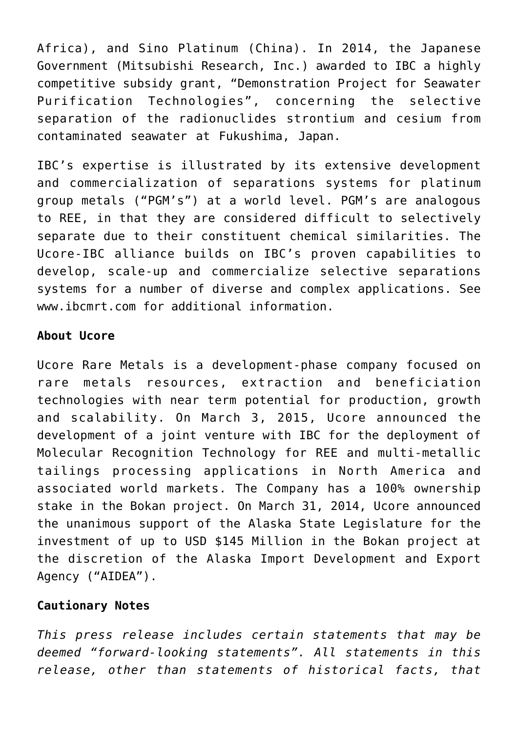Africa), and Sino Platinum (China). In 2014, the Japanese Government (Mitsubishi Research, Inc.) awarded to IBC a highly competitive subsidy grant, "Demonstration Project for Seawater Purification Technologies", concerning the selective separation of the radionuclides strontium and cesium from contaminated seawater at Fukushima, Japan.

IBC's expertise is illustrated by its extensive development and commercialization of separations systems for platinum group metals ("PGM's") at a world level. PGM's are analogous to REE, in that they are considered difficult to selectively separate due to their constituent chemical similarities. The Ucore-IBC alliance builds on IBC's proven capabilities to develop, scale-up and commercialize selective separations systems for a number of diverse and complex applications. See www.ibcmrt.com for additional information.

## **About Ucore**

Ucore Rare Metals is a development-phase company focused on rare metals resources, extraction and beneficiation technologies with near term potential for production, growth and scalability. On March 3, 2015, Ucore announced the development of a joint venture with IBC for the deployment of Molecular Recognition Technology for REE and multi-metallic tailings processing applications in North America and associated world markets. The Company has a 100% ownership stake in the Bokan project. On March 31, 2014, Ucore announced the unanimous support of the Alaska State Legislature for the investment of up to USD \$145 Million in the Bokan project at the discretion of the Alaska Import Development and Export Agency ("AIDEA").

## **Cautionary Notes**

*This press release includes certain statements that may be deemed "forward-looking statements". All statements in this release, other than statements of historical facts, that*